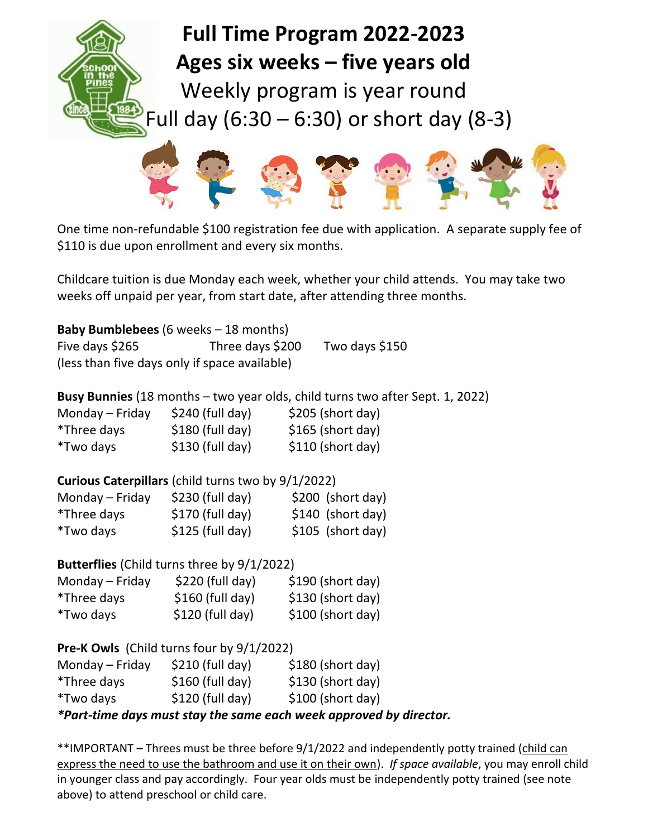## **Full Time Program 2022-2023 Ages six weeks – five years old**

Weekly program is year round Full day  $(6:30 - 6:30)$  or short day  $(8-3)$ 



One time non-refundable \$100 registration fee due with application. A separate supply fee of \$110 is due upon enrollment and every six months.

Childcare tuition is due Monday each week, whether your child attends. You may take two weeks off unpaid per year, from start date, after attending three months.

| <b>Baby Bumblebees</b> (6 weeks – 18 months)  |                  |                |  |
|-----------------------------------------------|------------------|----------------|--|
| Five days \$265                               | Three days \$200 | Two days \$150 |  |
| (less than five days only if space available) |                  |                |  |

|  |  |  | Busy Bunnies (18 months - two year olds, child turns two after Sept. 1, 2022) |  |  |
|--|--|--|-------------------------------------------------------------------------------|--|--|
|--|--|--|-------------------------------------------------------------------------------|--|--|

| Monday – Friday | $$240$ (full day) | $$205$ (short day) |
|-----------------|-------------------|--------------------|
| *Three days     | $$180$ (full day) | $$165$ (short day) |
| *Two days       | $$130$ (full day) | $$110$ (short day) |

| Curious Caterpillars (child turns two by 9/1/2022) |  |  |  |
|----------------------------------------------------|--|--|--|
|----------------------------------------------------|--|--|--|

| Monday - Friday | $$230$ (full day) | $$200$ (short day) |
|-----------------|-------------------|--------------------|
| *Three days     | $$170$ (full day) | $$140$ (short day) |
| *Two days       | $$125$ (full day) | $$105$ (short day) |

**Butterflies** (Child turns three by 9/1/2022)

| Monday – Friday | $$220$ (full day) | $$190$ (short day) |
|-----------------|-------------------|--------------------|
| *Three days     | $$160$ (full day) | $$130$ (short day) |
| *Two days       | $$120$ (full day) | $$100$ (short day) |

**Pre-K Owls** (Child turns four by 9/1/2022)

|                 |                   | $*n$ and times development stays this square speak weapon approximately |
|-----------------|-------------------|-------------------------------------------------------------------------|
| *Two days       | $$120$ (full day) | $$100$ (short day)                                                      |
| *Three days     | $$160$ (full day) | \$130 (short day)                                                       |
| Monday - Friday | $$210$ (full day) | $$180$ (short day)                                                      |

*\*Part-time days must stay the same each week approved by director.* 

\*\*IMPORTANT – Threes must be three before 9/1/2022 and independently potty trained (child can express the need to use the bathroom and use it on their own). *If space available*, you may enroll child in younger class and pay accordingly. Four year olds must be independently potty trained (see note above) to attend preschool or child care.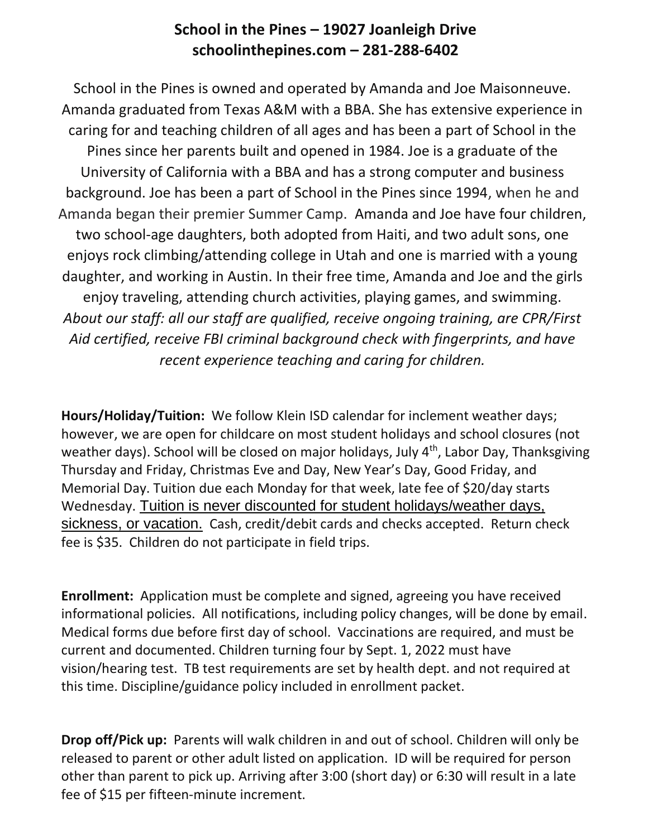## **School in the Pines – 19027 Joanleigh Drive schoolinthepines.com – 281-288-6402**

School in the Pines is owned and operated by Amanda and Joe Maisonneuve. Amanda graduated from Texas A&M with a BBA. She has extensive experience in caring for and teaching children of all ages and has been a part of School in the Pines since her parents built and opened in 1984. Joe is a graduate of the University of California with a BBA and has a strong computer and business background. Joe has been a part of School in the Pines since 1994, when he and Amanda began their premier Summer Camp. Amanda and Joe have four children, two school-age daughters, both adopted from Haiti, and two adult sons, one enjoys rock climbing/attending college in Utah and one is married with a young daughter, and working in Austin. In their free time, Amanda and Joe and the girls enjoy traveling, attending church activities, playing games, and swimming. *About our staff: all our staff are qualified, receive ongoing training, are CPR/First Aid certified, receive FBI criminal background check with fingerprints, and have recent experience teaching and caring for children.* 

**Hours/Holiday/Tuition:** We follow Klein ISD calendar for inclement weather days; however, we are open for childcare on most student holidays and school closures (not weather days). School will be closed on major holidays, July 4<sup>th</sup>, Labor Day, Thanksgiving Thursday and Friday, Christmas Eve and Day, New Year's Day, Good Friday, and Memorial Day. Tuition due each Monday for that week, late fee of \$20/day starts Wednesday. Tuition is never discounted for student holidays/weather days, sickness, or vacation. Cash, credit/debit cards and checks accepted. Return check fee is \$35. Children do not participate in field trips.

**Enrollment:** Application must be complete and signed, agreeing you have received informational policies. All notifications, including policy changes, will be done by email. Medical forms due before first day of school. Vaccinations are required, and must be current and documented. Children turning four by Sept. 1, 2022 must have vision/hearing test. TB test requirements are set by health dept. and not required at this time. Discipline/guidance policy included in enrollment packet.

**Drop off/Pick up:** Parents will walk children in and out of school. Children will only be released to parent or other adult listed on application. ID will be required for person other than parent to pick up. Arriving after 3:00 (short day) or 6:30 will result in a late fee of \$15 per fifteen-minute increment.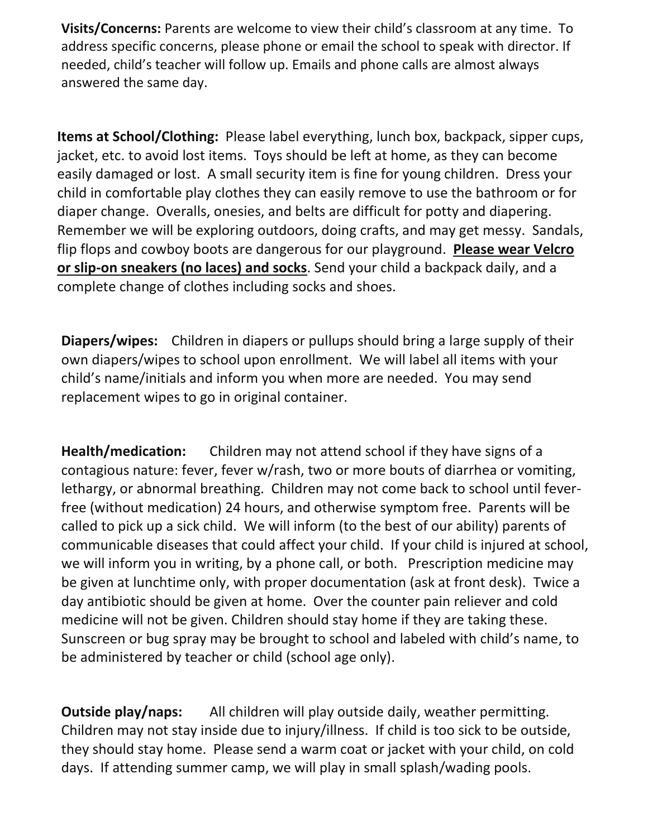**Visits/Concerns:** Parents are welcome to view their child's classroom at any time. To address specific concerns, please phone or email the school to speak with director. If needed, child's teacher will follow up. Emails and phone calls are almost always answered the same day.

**Items at School/Clothing:** Please label everything, lunch box, backpack, sipper cups, jacket, etc. to avoid lost items. Toys should be left at home, as they can become easily damaged or lost. A small security item is fine for young children. Dress your child in comfortable play clothes they can easily remove to use the bathroom or for diaper change. Overalls, onesies, and belts are difficult for potty and diapering. Remember we will be exploring outdoors, doing crafts, and may get messy. Sandals, flip flops and cowboy boots are dangerous for our playground. **Please wear Velcro or slip-on sneakers (no laces) and socks**. Send your child a backpack daily, and a complete change of clothes including socks and shoes.

**Diapers/wipes:** Children in diapers or pullups should bring a large supply of their own diapers/wipes to school upon enrollment. We will label all items with your child's name/initials and inform you when more are needed. You may send replacement wipes to go in original container.

**Health/medication:** Children may not attend school if they have signs of a contagious nature: fever, fever w/rash, two or more bouts of diarrhea or vomiting, lethargy, or abnormal breathing. Children may not come back to school until feverfree (without medication) 24 hours, and otherwise symptom free. Parents will be called to pick up a sick child. We will inform (to the best of our ability) parents of communicable diseases that could affect your child. If your child is injured at school, we will inform you in writing, by a phone call, or both. Prescription medicine may be given at lunchtime only, with proper documentation (ask at front desk). Twice a day antibiotic should be given at home. Over the counter pain reliever and cold medicine will not be given. Children should stay home if they are taking these. Sunscreen or bug spray may be brought to school and labeled with child's name, to be administered by teacher or child (school age only).

**Outside play/naps:** All children will play outside daily, weather permitting. Children may not stay inside due to injury/illness. If child is too sick to be outside, they should stay home. Please send a warm coat or jacket with your child, on cold days. If attending summer camp, we will play in small splash/wading pools.